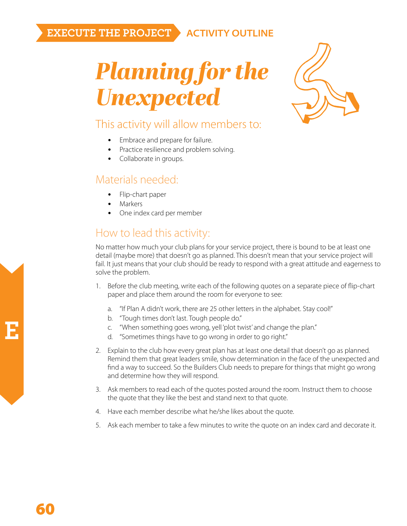## **EXECUTE THE PROJECT ACTIVITY OUTLINE**

*Planning for the Unexpected*



### This activity will allow members to:

- Embrace and prepare for failure.
- Practice resilience and problem solving.
- Collaborate in groups.

#### Materials needed:

- Flip-chart paper
- Markers
- One index card per member

# How to lead this activity:

No matter how much your club plans for your service project, there is bound to be at least one detail (maybe more) that doesn't go as planned. This doesn't mean that your service project will fail. It just means that your club should be ready to respond with a great attitude and eagerness to solve the problem.

- 1. Before the club meeting, write each of the following quotes on a separate piece of flip-chart paper and place them around the room for everyone to see:
	- a. "If Plan A didn't work, there are 25 other letters in the alphabet. Stay cool!"
	- b. "Tough times don't last. Tough people do."
	- c. "When something goes wrong, yell 'plot twist' and change the plan."
	- d. "Sometimes things have to go wrong in order to go right."
- 2. Explain to the club how every great plan has at least one detail that doesn't go as planned. Remind them that great leaders smile, show determination in the face of the unexpected and find a way to succeed. So the Builders Club needs to prepare for things that might go wrong and determine how they will respond.
- 3. Ask members to read each of the quotes posted around the room. Instruct them to choose the quote that they like the best and stand next to that quote.
- 4. Have each member describe what he/she likes about the quote.
- 5. Ask each member to take a few minutes to write the quote on an index card and decorate it.